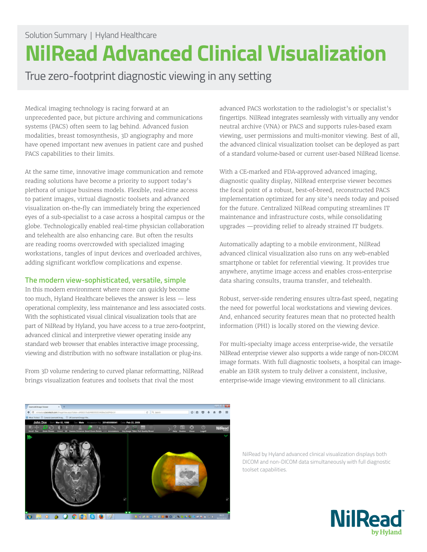## **NilRead Advanced Clinical Visualization**

True zero-footprint diagnostic viewing in any setting

Medical imaging technology is racing forward at an unprecedented pace, but picture archiving and communications systems (PACS) often seem to lag behind. Advanced fusion modalities, breast tomosynthesis, 3D angiography and more have opened important new avenues in patient care and pushed PACS capabilities to their limits.

At the same time, innovative image communication and remote reading solutions have become a priority to support today's plethora of unique business models. Flexible, real-time access to patient images, virtual diagnostic toolsets and advanced visualization on-the-fly can immediately bring the experienced eyes of a sub-specialist to a case across a hospital campus or the globe. Technologically enabled real-time physician collaboration and telehealth are also enhancing care. But often the results are reading rooms overcrowded with specialized imaging workstations, tangles of input devices and overloaded archives, adding significant workflow complications and expense.

## **The modern view-sophisticated, versatile, simple**

In this modern environment where more can quickly become too much, Hyland Healthcare believes the answer is less — less operational complexity, less maintenance and less associated costs. With the sophisticated visual clinical visualization tools that are part of NilRead by Hyland, you have access to a true zero-footprint, advanced clinical and interpretive viewer operating inside any standard web browser that enables interactive image processing, viewing and distribution with no software installation or plug-ins.

From 3D volume rendering to curved planar reformatting, NilRead brings visualization features and toolsets that rival the most

advanced PACS workstation to the radiologist's or specialist's fingertips. NilRead integrates seamlessly with virtually any vendor neutral archive (VNA) or PACS and supports rules-based exam viewing, user permissions and multi-monitor viewing. Best of all, the advanced clinical visualization toolset can be deployed as part of a standard volume-based or current user-based NilRead license.

With a CE-marked and FDA-approved advanced imaging, diagnostic quality display, NilRead enterprise viewer becomes the focal point of a robust, best-of-breed, reconstructed PACS implementation optimized for any site's needs today and poised for the future. Centralized NilRead computing streamlines IT maintenance and infrastructure costs, while consolidating upgrades —providing relief to already strained IT budgets.

Automatically adapting to a mobile environment, NilRead advanced clinical visualization also runs on any web-enabled smartphone or tablet for referential viewing. It provides true anywhere, anytime image access and enables cross-enterprise data sharing consults, trauma transfer, and telehealth.

Robust, server-side rendering ensures ultra-fast speed, negating the need for powerful local workstations and viewing devices. And, enhanced security features mean that no protected health information (PHI) is locally stored on the viewing device.

For multi-specialty image access enterprise-wide, the versatile NilRead enterprise viewer also supports a wide range of non-DICOM image formats. With full diagnostic toolsets, a hospital can imageenable an EHR system to truly deliver a consistent, inclusive, enterprise-wide image viewing environment to all clinicians.



NilRead by Hyland advanced clinical visualization displays both DICOM and non-DICOM data simultaneously with full diagnostic toolset capabilities.

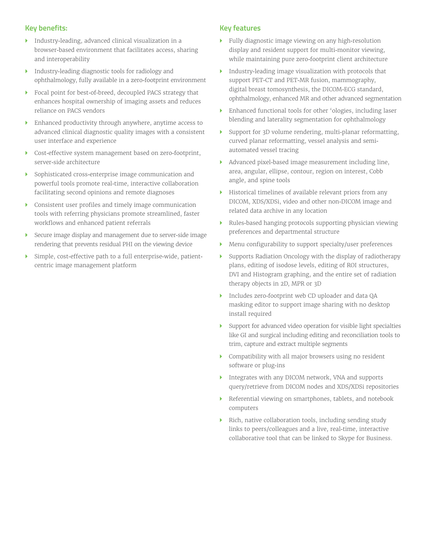## **Key benefits:**

- } Industry-leading, advanced clinical visualization in a browser-based environment that facilitates access, sharing and interoperability
- } Industry-leading diagnostic tools for radiology and ophthalmology, fully available in a zero-footprint environment
- } Focal point for best-of-breed, decoupled PACS strategy that enhances hospital ownership of imaging assets and reduces reliance on PACS vendors
- Enhanced productivity through anywhere, anytime access to advanced clinical diagnostic quality images with a consistent user interface and experience
- } Cost-effective system management based on zero-footprint, server-side architecture
- } Sophisticated cross-enterprise image communication and powerful tools promote real-time, interactive collaboration facilitating second opinions and remote diagnoses
- } Consistent user profiles and timely image communication tools with referring physicians promote streamlined, faster workflows and enhanced patient referrals
- Secure image display and management due to server-side image rendering that prevents residual PHI on the viewing device
- Simple, cost-effective path to a full enterprise-wide, patientcentric image management platform

## **Key features**

- } Fully diagnostic image viewing on any high-resolution display and resident support for multi-monitor viewing, while maintaining pure zero-footprint client architecture
- } Industry-leading image visualization with protocols that support PET-CT and PET-MR fusion, mammography, digital breast tomosynthesis, the DICOM-ECG standard, ophthalmology, enhanced MR and other advanced segmentation
- } Enhanced functional tools for other 'ologies, including laser blending and laterality segmentation for ophthalmology
- } Support for 3D volume rendering, multi-planar reformatting, curved planar reformatting, vessel analysis and semiautomated vessel tracing
- } Advanced pixel-based image measurement including line, area, angular, ellipse, contour, region on interest, Cobb angle, and spine tools
- } Historical timelines of available relevant priors from any DICOM, XDS/XDSi, video and other non-DICOM image and related data archive in any location
- } Rules-based hanging protocols supporting physician viewing preferences and departmental structure
- } Menu configurability to support specialty/user preferences
- } Supports Radiation Oncology with the display of radiotherapy plans, editing of isodose levels, editing of ROI structures, DVI and Histogram graphing, and the entire set of radiation therapy objects in 2D, MPR or 3D
- } Includes zero-footprint web CD uploader and data QA masking editor to support image sharing with no desktop install required
- } Support for advanced video operation for visible light specialties like GI and surgical including editing and reconciliation tools to trim, capture and extract multiple segments
- } Compatibility with all major browsers using no resident software or plug-ins
- } Integrates with any DICOM network, VNA and supports query/retrieve from DICOM nodes and XDS/XDSi repositories
- } Referential viewing on smartphones, tablets, and notebook computers
- } Rich, native collaboration tools, including sending study links to peers/colleagues and a live, real-time, interactive collaborative tool that can be linked to Skype for Business.